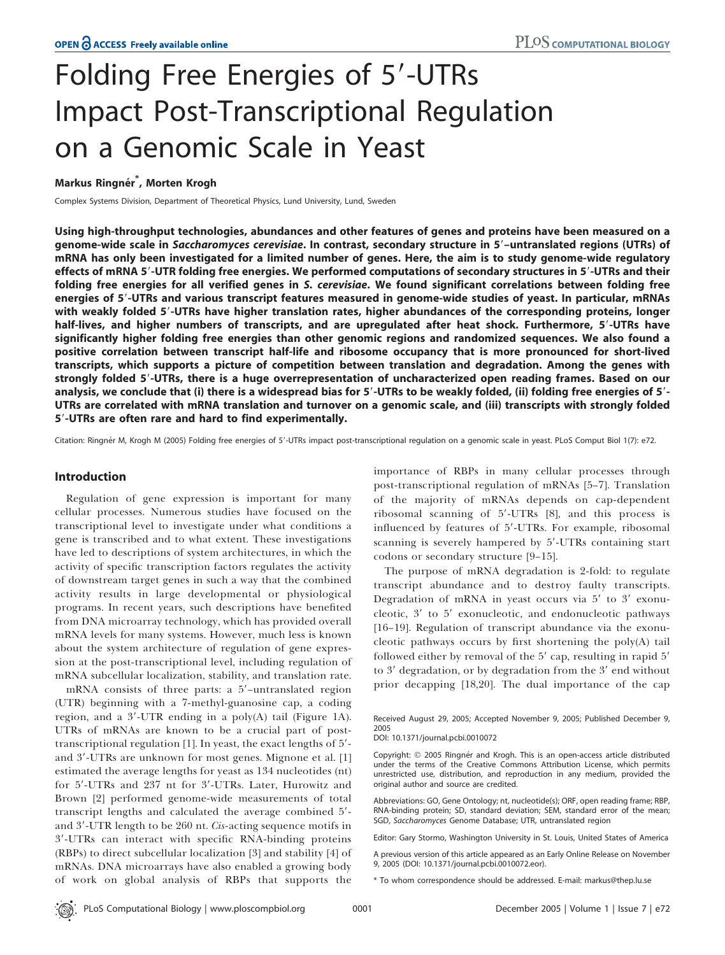# Folding Free Energies of 5'-UTRs Impact Post-Transcriptional Regulation on a Genomic Scale in Yeast

# Markus Ringnér<sup>\*</sup>, Morten Krogh

Complex Systems Division, Department of Theoretical Physics, Lund University, Lund, Sweden

Using high-throughput technologies, abundances and other features of genes and proteins have been measured on a genome-wide scale in Saccharomyces cerevisiae. In contrast, secondary structure in 5'-untranslated regions (UTRs) of mRNA has only been investigated for a limited number of genes. Here, the aim is to study genome-wide regulatory effects of mRNA 5'-UTR folding free energies. We performed computations of secondary structures in 5'-UTRs and their folding free energies for all verified genes in S. cerevisiae. We found significant correlations between folding free energies of 5'-UTRs and various transcript features measured in genome-wide studies of yeast. In particular, mRNAs with weakly folded 5'-UTRs have higher translation rates, higher abundances of the corresponding proteins, longer half-lives, and higher numbers of transcripts, and are upregulated after heat shock. Furthermore, 5'-UTRs have significantly higher folding free energies than other genomic regions and randomized sequences. We also found a positive correlation between transcript half-life and ribosome occupancy that is more pronounced for short-lived transcripts, which supports a picture of competition between translation and degradation. Among the genes with strongly folded 5'-UTRs, there is a huge overrepresentation of uncharacterized open reading frames. Based on our analysis, we conclude that (i) there is a widespread bias for  $5'-$ UTRs to be weakly folded, (ii) folding free energies of  $5'-$ UTRs are correlated with mRNA translation and turnover on a genomic scale, and (iii) transcripts with strongly folded 5'-UTRs are often rare and hard to find experimentally.

Citation: Ringnér M, Krogh M (2005) Folding free energies of 5'-UTRs impact post-transcriptional regulation on a genomic scale in yeast. PLoS Comput Biol 1(7): e72.

# Introduction

Regulation of gene expression is important for many cellular processes. Numerous studies have focused on the transcriptional level to investigate under what conditions a gene is transcribed and to what extent. These investigations have led to descriptions of system architectures, in which the activity of specific transcription factors regulates the activity of downstream target genes in such a way that the combined activity results in large developmental or physiological programs. In recent years, such descriptions have benefited from DNA microarray technology, which has provided overall mRNA levels for many systems. However, much less is known about the system architecture of regulation of gene expression at the post-transcriptional level, including regulation of mRNA subcellular localization, stability, and translation rate.

mRNA consists of three parts: a  $5'$ -untranslated region (UTR) beginning with a 7-methyl-guanosine cap, a coding region, and a  $3'$ -UTR ending in a poly(A) tail (Figure 1A). UTRs of mRNAs are known to be a crucial part of posttranscriptional regulation  $[1]$ . In yeast, the exact lengths of  $5'$ and 3'-UTRs are unknown for most genes. Mignone et al. [1] estimated the average lengths for yeast as 134 nucleotides (nt) for 5′-UTRs and 237 nt for 3′-UTRs. Later, Hurowitz and Brown [2] performed genome-wide measurements of total transcript lengths and calculated the average combined 5'and 3'-UTR length to be 260 nt. Cis-acting sequence motifs in 3'-UTRs can interact with specific RNA-binding proteins (RBPs) to direct subcellular localization [3] and stability [4] of mRNAs. DNA microarrays have also enabled a growing body of work on global analysis of RBPs that supports the importance of RBPs in many cellular processes through post-transcriptional regulation of mRNAs [5–7]. Translation of the majority of mRNAs depends on cap-dependent ribosomal scanning of 5'-UTRs [8], and this process is influenced by features of 5'-UTRs. For example, ribosomal scanning is severely hampered by 5'-UTRs containing start codons or secondary structure [9–15].

The purpose of mRNA degradation is 2-fold: to regulate transcript abundance and to destroy faulty transcripts. Degradation of mRNA in yeast occurs via 5' to 3' exonucleotic,  $3'$  to  $5'$  exonucleotic, and endonucleotic pathways [16–19]. Regulation of transcript abundance via the exonucleotic pathways occurs by first shortening the poly(A) tail followed either by removal of the  $5'$  cap, resulting in rapid  $5'$ to 3' degradation, or by degradation from the 3' end without prior decapping [18,20]. The dual importance of the cap

Received August 29, 2005; Accepted November 9, 2005; Published December 9, 2005 DOI: 10.1371/journal.pcbi.0010072

Copyright: © 2005 Ringnér and Krogh. This is an open-access article distributed under the terms of the Creative Commons Attribution License, which permits unrestricted use, distribution, and reproduction in any medium, provided the

original author and source are credited.

Abbreviations: GO, Gene Ontology; nt, nucleotide(s); ORF, open reading frame; RBP, RNA-binding protein; SD, standard deviation; SEM, standard error of the mean; SGD, Saccharomyces Genome Database; UTR, untranslated region

Editor: Gary Stormo, Washington University in St. Louis, United States of America

A previous version of this article appeared as an Early Online Release on November 9, 2005 (DOI: 10.1371/journal.pcbi.0010072.eor).

\* To whom correspondence should be addressed. E-mail: markus@thep.lu.se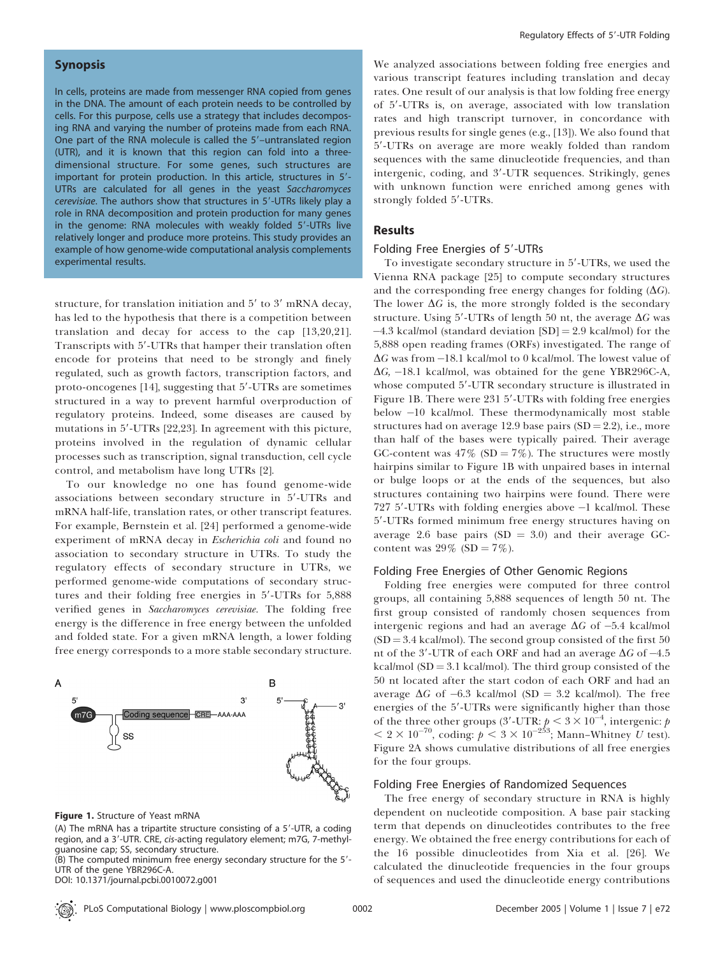# Synopsis

In cells, proteins are made from messenger RNA copied from genes in the DNA. The amount of each protein needs to be controlled by cells. For this purpose, cells use a strategy that includes decomposing RNA and varying the number of proteins made from each RNA. One part of the RNA molecule is called the 5'-untranslated region (UTR), and it is known that this region can fold into a threedimensional structure. For some genes, such structures are important for protein production. In this article, structures in 5'-UTRs are calculated for all genes in the yeast Saccharomyces cerevisiae. The authors show that structures in 5'-UTRs likely play a role in RNA decomposition and protein production for many genes in the genome: RNA molecules with weakly folded 5'-UTRs live relatively longer and produce more proteins. This study provides an example of how genome-wide computational analysis complements experimental results.

structure, for translation initiation and  $5'$  to  $3'$  mRNA decay, has led to the hypothesis that there is a competition between translation and decay for access to the cap [13,20,21]. Transcripts with 5'-UTRs that hamper their translation often encode for proteins that need to be strongly and finely regulated, such as growth factors, transcription factors, and proto-oncogenes [14], suggesting that 5'-UTRs are sometimes structured in a way to prevent harmful overproduction of regulatory proteins. Indeed, some diseases are caused by mutations in 5'-UTRs [22,23]. In agreement with this picture, proteins involved in the regulation of dynamic cellular processes such as transcription, signal transduction, cell cycle control, and metabolism have long UTRs [2].

To our knowledge no one has found genome-wide associations between secondary structure in 5'-UTRs and mRNA half-life, translation rates, or other transcript features. For example, Bernstein et al. [24] performed a genome-wide experiment of mRNA decay in *Escherichia coli* and found no association to secondary structure in UTRs. To study the regulatory effects of secondary structure in UTRs, we performed genome-wide computations of secondary structures and their folding free energies in  $5'$ -UTRs for  $5,888$ verified genes in Saccharomyces cerevisiae. The folding free energy is the difference in free energy between the unfolded and folded state. For a given mRNA length, a lower folding free energy corresponds to a more stable secondary structure.



#### Figure 1. Structure of Yeast mRNA

(A) The mRNA has a tripartite structure consisting of a  $5'$ -UTR, a coding region, and a 3'-UTR. CRE, cis-acting regulatory element; m7G, 7-methylguanosine cap; SS, secondary structure.

 $(B)$  The computed minimum free energy secondary structure for the  $5'$ -UTR of the gene YBR296C-A.

DOI: 10.1371/journal.pcbi.0010072.g001

We analyzed associations between folding free energies and various transcript features including translation and decay rates. One result of our analysis is that low folding free energy of 5'-UTRs is, on average, associated with low translation rates and high transcript turnover, in concordance with previous results for single genes (e.g., [13]). We also found that 5'-UTRs on average are more weakly folded than random sequences with the same dinucleotide frequencies, and than intergenic, coding, and 3'-UTR sequences. Strikingly, genes with unknown function were enriched among genes with strongly folded 5'-UTRs.

# **Results**

## Folding Free Energies of 5'-UTRs

To investigate secondary structure in 5'-UTRs, we used the Vienna RNA package [25] to compute secondary structures and the corresponding free energy changes for folding  $(\Delta G)$ . The lower  $\Delta G$  is, the more strongly folded is the secondary structure. Using 5'-UTRs of length 50 nt, the average  $\Delta G$  was  $-4.3$  kcal/mol (standard deviation [SD] = 2.9 kcal/mol) for the 5,888 open reading frames (ORFs) investigated. The range of  $\Delta G$  was from -18.1 kcal/mol to 0 kcal/mol. The lowest value of  $\Delta G$ , -18.1 kcal/mol, was obtained for the gene YBR296C-A, whose computed 5'-UTR secondary structure is illustrated in Figure 1B. There were 231 5'-UTRs with folding free energies below -10 kcal/mol. These thermodynamically most stable structures had on average 12.9 base pairs  $(SD = 2.2)$ , i.e., more than half of the bases were typically paired. Their average GC-content was  $47\%$  (SD =  $7\%$ ). The structures were mostly hairpins similar to Figure 1B with unpaired bases in internal or bulge loops or at the ends of the sequences, but also structures containing two hairpins were found. There were 727 5'-UTRs with folding energies above  $-1$  kcal/mol. These 59-UTRs formed minimum free energy structures having on average 2.6 base pairs  $(SD = 3.0)$  and their average GCcontent was  $29\%$  (SD =  $7\%$ ).

#### Folding Free Energies of Other Genomic Regions

Folding free energies were computed for three control groups, all containing 5,888 sequences of length 50 nt. The first group consisted of randomly chosen sequences from intergenic regions and had an average  $\Delta G$  of  $-5.4$  kcal/mol  $(SD = 3.4$  kcal/mol). The second group consisted of the first 50 nt of the 3'-UTR of each ORF and had an average  $\Delta G$  of -4.5 kcal/mol  $(SD = 3.1$  kcal/mol). The third group consisted of the 50 nt located after the start codon of each ORF and had an average  $\Delta G$  of -6.3 kcal/mol (SD = 3.2 kcal/mol). The free energies of the 5'-UTRs were significantly higher than those of the three other groups (3'-UTR:  $p < 3 \times 10^{-4}$ , intergenic:  $p$  $< 2 \times 10^{-70}$ , coding:  $p < 3 \times 10^{-253}$ ; Mann–Whitney U test). Figure 2A shows cumulative distributions of all free energies for the four groups.

#### Folding Free Energies of Randomized Sequences

The free energy of secondary structure in RNA is highly dependent on nucleotide composition. A base pair stacking term that depends on dinucleotides contributes to the free energy. We obtained the free energy contributions for each of the 16 possible dinucleotides from Xia et al. [26]. We calculated the dinucleotide frequencies in the four groups of sequences and used the dinucleotide energy contributions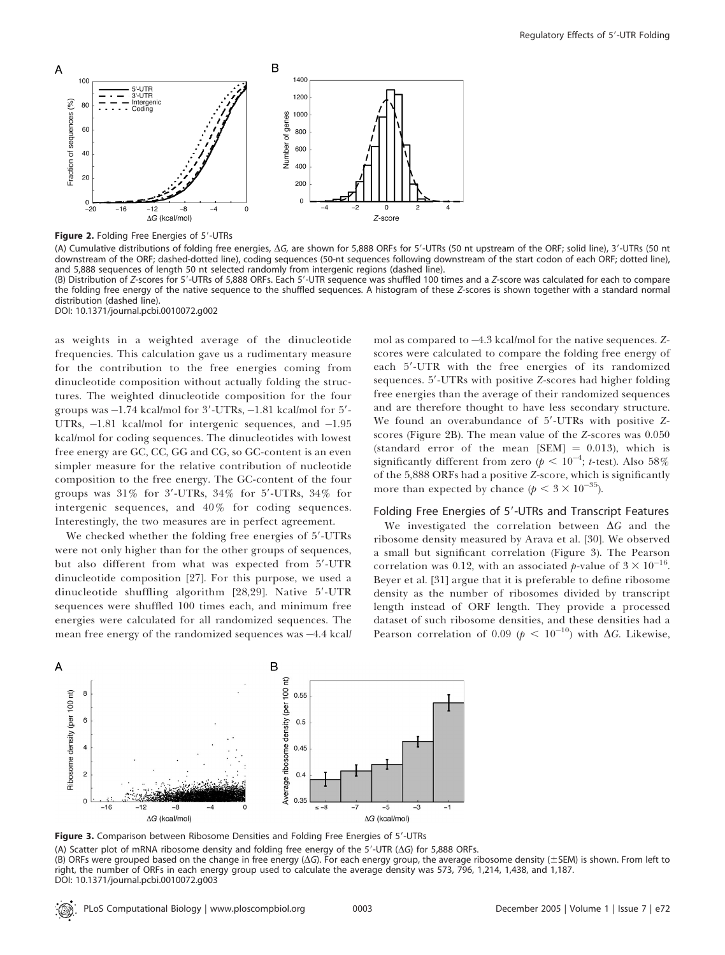

Figure 2. Folding Free Energies of 5'-UTRs

(A) Cumulative distributions of folding free energies,  $\Delta G$ , are shown for 5,888 ORFs for 5'-UTRs (50 nt upstream of the ORF; solid line), 3'-UTRs (50 nt downstream of the ORF; dashed-dotted line), coding sequences (50-nt sequences following downstream of the start codon of each ORF; dotted line), and 5,888 sequences of length 50 nt selected randomly from intergenic regions (dashed line). (B) Distribution of Z-scores for 5'-UTRs of 5,888 ORFs. Each 5'-UTR sequence was shuffled 100 times and a Z-score was calculated for each to compare

the folding free energy of the native sequence to the shuffled sequences. A histogram of these Z-scores is shown together with a standard normal distribution (dashed line).

DOI: 10.1371/journal.pcbi.0010072.g002

as weights in a weighted average of the dinucleotide frequencies. This calculation gave us a rudimentary measure for the contribution to the free energies coming from dinucleotide composition without actually folding the structures. The weighted dinucleotide composition for the four groups was  $-1.74$  kcal/mol for  $3'$ -UTRs,  $-1.81$  kcal/mol for  $5'$ -UTRs,  $-1.81$  kcal/mol for intergenic sequences, and  $-1.95$ kcal/mol for coding sequences. The dinucleotides with lowest free energy are GC, CC, GG and CG, so GC-content is an even simpler measure for the relative contribution of nucleotide composition to the free energy. The GC-content of the four groups was  $31\%$  for  $3'$ -UTRs,  $34\%$  for  $5'$ -UTRs,  $34\%$  for intergenic sequences, and 40% for coding sequences. Interestingly, the two measures are in perfect agreement.

We checked whether the folding free energies of 5'-UTRs were not only higher than for the other groups of sequences, but also different from what was expected from 5'-UTR dinucleotide composition [27]. For this purpose, we used a dinucleotide shuffling algorithm [28,29]. Native 5'-UTR sequences were shuffled 100 times each, and minimum free energies were calculated for all randomized sequences. The mean free energy of the randomized sequences was  $-4.4$  kcall

mol as compared to  $-4.3$  kcal/mol for the native sequences. Zscores were calculated to compare the folding free energy of each 5'-UTR with the free energies of its randomized sequences. 5'-UTRs with positive Z-scores had higher folding free energies than the average of their randomized sequences and are therefore thought to have less secondary structure. We found an overabundance of  $5'$ -UTRs with positive Zscores (Figure 2B). The mean value of the Z-scores was 0.050 (standard error of the mean  $[SEM] = 0.013$ ), which is significantly different from zero ( $p < 10^{-4}$ ; t-test). Also  $58\%$ of the 5,888 ORFs had a positive Z-score, which is significantly more than expected by chance ( $p < 3 \times 10^{-35}$ ).

#### Folding Free Energies of 5'-UTRs and Transcript Features

We investigated the correlation between  $\Delta G$  and the ribosome density measured by Arava et al. [30]. We observed a small but significant correlation (Figure 3). The Pearson correlation was 0.12, with an associated p-value of  $3 \times 10^{-16}$ . Beyer et al. [31] argue that it is preferable to define ribosome density as the number of ribosomes divided by transcript length instead of ORF length. They provide a processed dataset of such ribosome densities, and these densities had a Pearson correlation of 0.09 ( $p < 10^{-10}$ ) with  $\Delta G$ . Likewise,



Figure 3. Comparison between Ribosome Densities and Folding Free Energies of 5'-UTRs

(A) Scatter plot of mRNA ribosome density and folding free energy of the  $5'-UTR$  ( $\Delta G$ ) for 5,888 ORFs. (B) ORFs were grouped based on the change in free energy ( $\Delta G$ ). For each energy group, the average ribosome density ( $\pm$ SEM) is shown. From left to right, the number of ORFs in each energy group used to calculate the average density was 573, 796, 1,214, 1,438, and 1,187. DOI: 10.1371/journal.pcbi.0010072.g003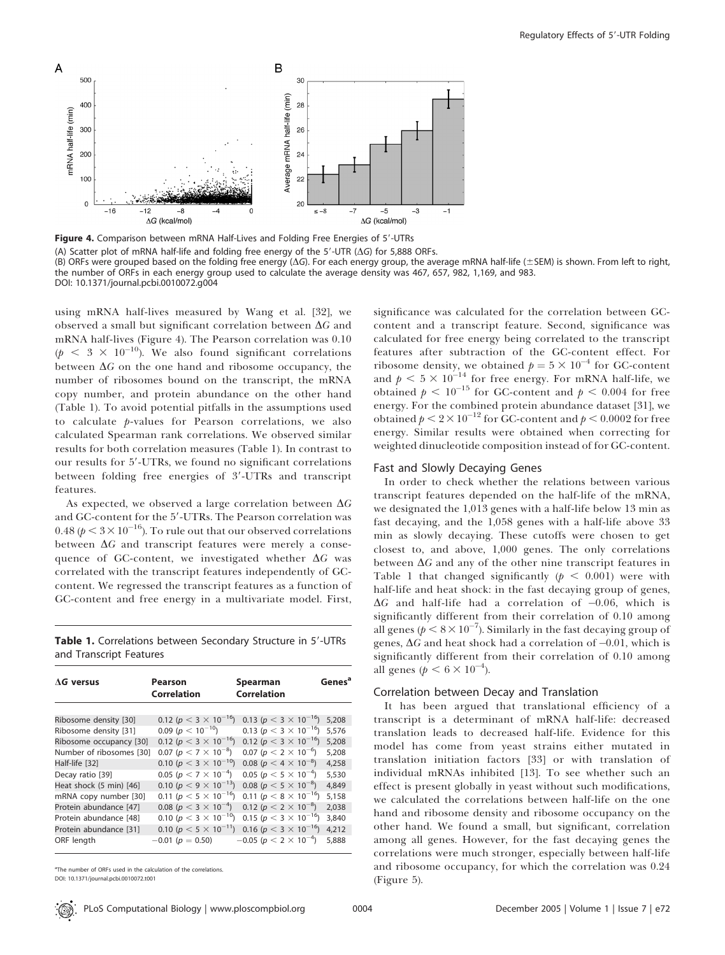

Figure 4. Comparison between mRNA Half-Lives and Folding Free Energies of 5'-UTRs

(A) Scatter plot of mRNA half-life and folding free energy of the  $5'-UTR$  ( $\Delta G$ ) for 5,888 ORFs.

(B) ORFs were grouped based on the folding free energy ( $\Delta G$ ). For each energy group, the average mRNA half-life ( $\pm$ SEM) is shown. From left to right, the number of ORFs in each energy group used to calculate the average density was 467, 657, 982, 1,169, and 983. DOI: 10.1371/journal.pcbi.0010072.g004

using mRNA half-lives measured by Wang et al. [32], we observed a small but significant correlation between  $\Delta G$  and mRNA half-lives (Figure 4). The Pearson correlation was 0.10  $(p < 3 \times 10^{-10})$ . We also found significant correlations between  $\Delta G$  on the one hand and ribosome occupancy, the number of ribosomes bound on the transcript, the mRNA copy number, and protein abundance on the other hand (Table 1). To avoid potential pitfalls in the assumptions used to calculate p-values for Pearson correlations, we also calculated Spearman rank correlations. We observed similar results for both correlation measures (Table 1). In contrast to our results for 5'-UTRs, we found no significant correlations between folding free energies of 3'-UTRs and transcript features.

As expected, we observed a large correlation between  $\Delta G$ and GC-content for the 5'-UTRs. The Pearson correlation was 0.48 ( $p < 3 \times 10^{-16}$ ). To rule out that our observed correlations between  $\Delta G$  and transcript features were merely a consequence of GC-content, we investigated whether  $\Delta G$  was correlated with the transcript features independently of GCcontent. We regressed the transcript features as a function of GC-content and free energy in a multivariate model. First,

Table 1. Correlations between Secondary Structure in 5'-UTRs and Transcript Features

| $\Lambda$ G versus       | Pearson<br>Correlation           | Spearman<br><b>Correlation</b>     | Genes <sup>a</sup> |
|--------------------------|----------------------------------|------------------------------------|--------------------|
| Ribosome density [30]    | 0.12 ( $p < 3 \times 10^{-16}$ ) | 0.13 ( $p < 3 \times 10^{-16}$ )   | 5,208              |
| Ribosome density [31]    | 0.09 ( $p < 10^{-10}$ )          | 0.13 ( $p < 3 \times 10^{-16}$ )   | 5.576              |
| Ribosome occupancy [30]  | 0.12 ( $p < 3 \times 10^{-16}$ ) | 0.12 ( $p < 3 \times 10^{-16}$ )   | 5.208              |
| Number of ribosomes [30] | 0.07 ( $p < 7 \times 10^{-8}$ )  | 0.07 ( $p < 2 \times 10^{-6}$ )    | 5.208              |
| Half-life [32]           | 0.10 ( $p < 3 \times 10^{-10}$ ) | 0.08 ( $p < 4 \times 10^{-8}$ )    | 4.258              |
| Decay ratio [39]         | 0.05 ( $p < 7 \times 10^{-4}$ )  | 0.05 ( $p < 5 \times 10^{-4}$ )    | 5,530              |
| Heat shock (5 min) [46]  | 0.10 ( $p < 9 \times 10^{-13}$ ) | 0.08 ( $p < 5 \times 10^{-8}$ )    | 4.849              |
| mRNA copy number [30]    | 0.11 ( $p < 5 \times 10^{-16}$ ) | 0.11 ( $p < 8 \times 10^{-16}$ )   | 5.158              |
| Protein abundance [47]   | 0.08 ( $p < 3 \times 10^{-4}$ )  | 0.12 ( $p < 2 \times 10^{-8}$ )    | 2.038              |
| Protein abundance [48]   | 0.10 ( $p < 3 \times 10^{-10}$ ) | 0.15 ( $p < 3 \times 10^{-16}$ )   | 3,840              |
| Protein abundance [31]   | 0.10 ( $p < 5 \times 10^{-11}$ ) | 0.16 ( $p < 3 \times 10^{-16}$ )   | 4,212              |
| ORF length               | $-0.01(p = 0.50)$                | $-0.05$ ( $p < 2 \times 10^{-4}$ ) | 5,888              |

<sup>a</sup>The number of ORFs used in the calculation of the correlations.

DOI: 10.1371/journal.pcbi.0010072.t001

significance was calculated for the correlation between GCcontent and a transcript feature. Second, significance was calculated for free energy being correlated to the transcript features after subtraction of the GC-content effect. For ribosome density, we obtained  $p = 5 \times 10^{-4}$  for GC-content and  $p < 5 \times 10^{-14}$  for free energy. For mRNA half-life, we obtained  $p < 10^{-15}$  for GC-content and  $p < 0.004$  for free energy. For the combined protein abundance dataset [31], we obtained  $p < 2 \times 10^{-12}$  for GC-content and  $p < 0.0002$  for free energy. Similar results were obtained when correcting for weighted dinucleotide composition instead of for GC-content.

#### Fast and Slowly Decaying Genes

In order to check whether the relations between various transcript features depended on the half-life of the mRNA, we designated the 1,013 genes with a half-life below 13 min as fast decaying, and the 1,058 genes with a half-life above 33 min as slowly decaying. These cutoffs were chosen to get closest to, and above, 1,000 genes. The only correlations between  $\Delta G$  and any of the other nine transcript features in Table 1 that changed significantly ( $p < 0.001$ ) were with half-life and heat shock: in the fast decaying group of genes,  $\Delta G$  and half-life had a correlation of  $-0.06$ , which is significantly different from their correlation of 0.10 among all genes ( $p < 8 \times 10^{-7}$ ). Similarly in the fast decaying group of genes,  $\Delta G$  and heat shock had a correlation of  $-0.01$ , which is significantly different from their correlation of 0.10 among all genes ( $p < 6 \times 10^{-4}$ ).

#### Correlation between Decay and Translation

It has been argued that translational efficiency of a transcript is a determinant of mRNA half-life: decreased translation leads to decreased half-life. Evidence for this model has come from yeast strains either mutated in translation initiation factors [33] or with translation of individual mRNAs inhibited [13]. To see whether such an effect is present globally in yeast without such modifications, we calculated the correlations between half-life on the one hand and ribosome density and ribosome occupancy on the other hand. We found a small, but significant, correlation among all genes. However, for the fast decaying genes the correlations were much stronger, especially between half-life and ribosome occupancy, for which the correlation was 0.24 (Figure 5).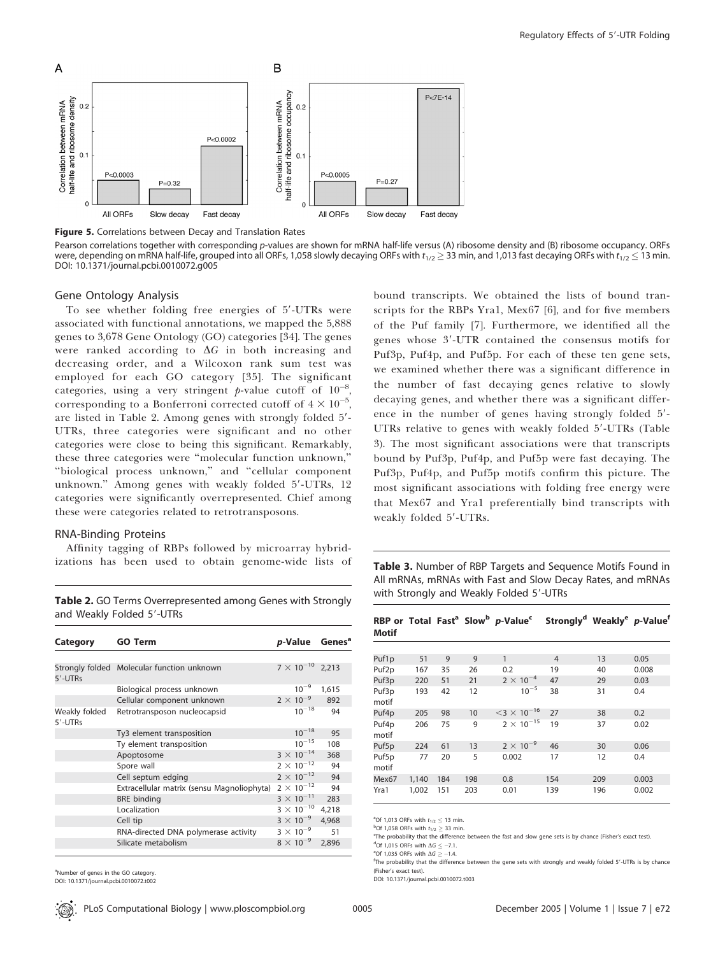

Figure 5. Correlations between Decay and Translation Rates

Pearson correlations together with corresponding p-values are shown for mRNA half-life versus (A) ribosome density and (B) ribosome occupancy. ORFs were, depending on mRNA half-life, grouped into all ORFs, 1,058 slowly decaying ORFs with t $_{1/2}$   $\geq$  33 min, and 1,013 fast decaying ORFs with t $_{1/2}$   $\leq$  13 min. DOI: 10.1371/journal.pcbi.0010072.g005

#### Gene Ontology Analysis

To see whether folding free energies of 5'-UTRs were associated with functional annotations, we mapped the 5,888 genes to 3,678 Gene Ontology (GO) categories [34]. The genes were ranked according to  $\Delta G$  in both increasing and decreasing order, and a Wilcoxon rank sum test was employed for each GO category [35]. The significant categories, using a very stringent p-value cutoff of  $10^{-8}$ , corresponding to a Bonferroni corrected cutoff of  $4 \times 10^{-5}$ , are listed in Table 2. Among genes with strongly folded 5'-UTRs, three categories were significant and no other categories were close to being this significant. Remarkably, these three categories were ''molecular function unknown,'' ''biological process unknown,'' and ''cellular component unknown." Among genes with weakly folded 5'-UTRs, 12 categories were significantly overrepresented. Chief among these were categories related to retrotransposons.

#### RNA-Binding Proteins

Affinity tagging of RBPs followed by microarray hybridizations has been used to obtain genome-wide lists of

bound transcripts. We obtained the lists of bound transcripts for the RBPs Yra1, Mex67 [6], and for five members of the Puf family [7]. Furthermore, we identified all the genes whose 3'-UTR contained the consensus motifs for Puf3p, Puf4p, and Puf5p. For each of these ten gene sets, we examined whether there was a significant difference in the number of fast decaying genes relative to slowly decaying genes, and whether there was a significant difference in the number of genes having strongly folded  $5'$ -UTRs relative to genes with weakly folded 5'-UTRs (Table 3). The most significant associations were that transcripts bound by Puf3p, Puf4p, and Puf5p were fast decaying. The Puf3p, Puf4p, and Puf5p motifs confirm this picture. The most significant associations with folding free energy were that Mex67 and Yra1 preferentially bind transcripts with weakly folded 5'-UTRs.

Table 3. Number of RBP Targets and Sequence Motifs Found in All mRNAs, mRNAs with Fast and Slow Decay Rates, and mRNAs with Strongly and Weakly Folded 5'-UTRs

| Category                 | <b>GO Term</b>                             | p-Value             | Genes <sup>a</sup> |
|--------------------------|--------------------------------------------|---------------------|--------------------|
|                          |                                            |                     |                    |
| 5'-UTRs                  | Strongly folded Molecular function unknown | $7 \times 10^{-10}$ | 2.213              |
|                          | Biological process unknown                 | $10^{-9}$           | 1,615              |
|                          | Cellular component unknown                 | $2 \times 10^{-9}$  | 892                |
| Weakly folded<br>5'-UTRs | Retrotransposon nucleocapsid               | $10^{-18}$          | 94                 |
|                          | Ty3 element transposition                  | $10^{-18}$          | 95                 |
|                          | Ty element transposition                   | $10^{-15}$          | 108                |
|                          | Apoptosome                                 | $3 \times 10^{-14}$ | 368                |
|                          | Spore wall                                 | $2 \times 10^{-12}$ | 94                 |
|                          | Cell septum edging                         | $2 \times 10^{-12}$ | 94                 |
|                          | Extracellular matrix (sensu Magnoliophyta) | $2 \times 10^{-12}$ | 94                 |
|                          | <b>BRE</b> binding                         | $3 \times 10^{-11}$ | 283                |
|                          | Localization                               | $3 \times 10^{-10}$ | 4,218              |
|                          | Cell tip                                   | $3 \times 10^{-9}$  | 4,968              |
|                          | RNA-directed DNA polymerase activity       | $3 \times 10^{-9}$  | 51                 |
|                          | Silicate metabolism                        | $8 \times 10^{-9}$  | 2.896              |
|                          |                                            |                     |                    |

Table 2. GO Terms Overrepresented among Genes with Strongly and Weakly Folded 5'-UTRs

| Motif             |     |    |    | RBP or Total Fast <sup>a</sup> Slow <sup>b</sup> p-Value <sup>c</sup> Strongly <sup>d</sup> Weakly <sup>e</sup> p-Value <sup>f</sup> |                |    |       |
|-------------------|-----|----|----|--------------------------------------------------------------------------------------------------------------------------------------|----------------|----|-------|
|                   |     |    |    |                                                                                                                                      |                |    |       |
| Puf1p             | 51  | 9  | 9  | 1                                                                                                                                    | $\overline{4}$ | 13 | 0.05  |
| Puf <sub>2p</sub> | 167 | 35 | 26 | 0.2                                                                                                                                  | 19             | 40 | 0.008 |
| Puf3p             | 220 | 51 | 21 | $2 \times 10^{-4}$                                                                                                                   | 47             | 29 | 0.03  |
| Puf3p<br>motif    | 193 | 42 | 12 | $10^{-5}$                                                                                                                            | 38             | 31 | 0.4   |
| Puf4p             | 205 | 98 | 10 | $<$ 3 $\times$ 10 <sup>-16</sup>                                                                                                     | 27             | 38 | 0.2   |
| Puf4p<br>motif    | 206 | 75 | 9  | $2 \times 10^{-15}$                                                                                                                  | 19             | 37 | 0.02  |
| Puf5p             | 224 | 61 | 13 | $2 \times 10^{-9}$                                                                                                                   | 46             | 30 | 0.06  |
| Puf5p             | 77  | 20 | 5  | 0.002                                                                                                                                | 17             | 12 | 0.4   |

<sup>a</sup>Of 1,013 ORFs with  $t_{1/2} \le 13$  min.

The probability that the difference between the fast and slow gene sets is by chance (Fisher's exact test). <sup>d</sup>Of 1,015 ORFs with  $\Delta G \le -7.1$ .

Mex67 1,140 184 198 0.8 154 209 0.003 Yra1 1,002 151 203 0.01 139 196 0.002

e<sup>e</sup>Of 1,035 ORFs with  $\Delta G \ge -1.4$ .

motif

<sup>f</sup>The probability that the difference between the gene sets with strongly and weakly folded 5'-UTRs is by chance (Fisher's exact test).

DOI: 10.1371/journal.pcbi.0010072.t003

<sup>a</sup>Number of genes in the GO category. DOI: 10.1371/journal.pcbi.0010072.t002

 $^{b}$ Of 1,058 ORFs with  $t_{1/2} \geq 33$  min.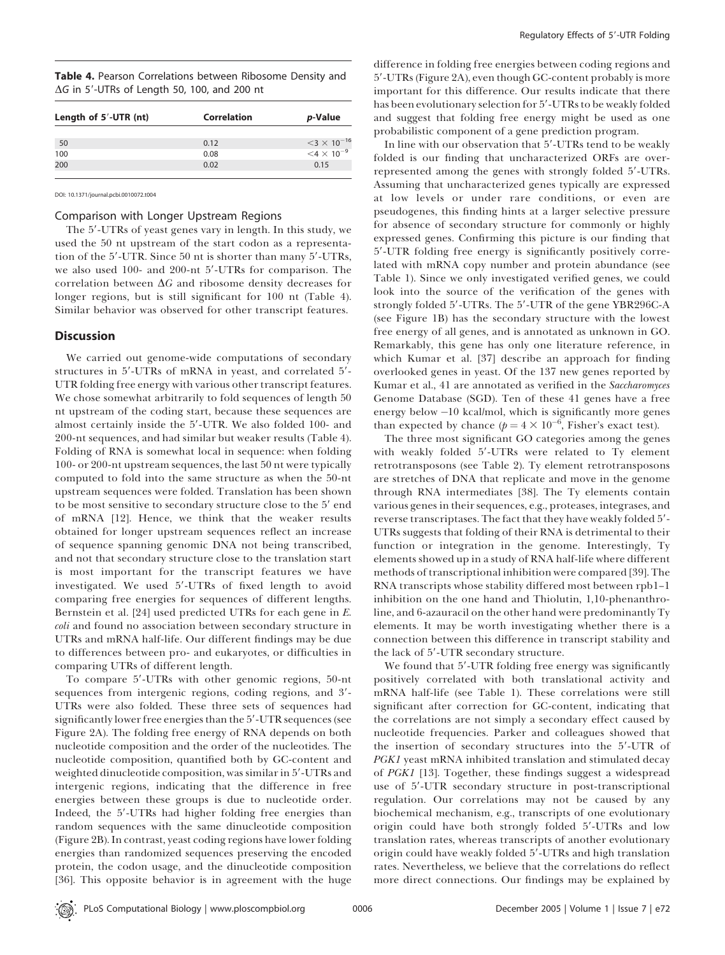|  |  |                                                     |  |  | Table 4. Pearson Correlations between Ribosome Density and |  |
|--|--|-----------------------------------------------------|--|--|------------------------------------------------------------|--|
|  |  | $\Delta G$ in 5'-UTRs of Length 50, 100, and 200 nt |  |  |                                                            |  |

| <i>p</i> -Value                  |
|----------------------------------|
| $<$ 3 $\times$ 10 <sup>-16</sup> |
| $<$ 4 $\times$ 10 <sup>-9</sup>  |
|                                  |
|                                  |

DOI: 10.1371/journal.pcbi.0010072.t004

#### Comparison with Longer Upstream Regions

The 5'-UTRs of yeast genes vary in length. In this study, we used the 50 nt upstream of the start codon as a representation of the 5'-UTR. Since 50 nt is shorter than many 5'-UTRs, we also used 100- and 200-nt 5'-UTRs for comparison. The correlation between  $\Delta G$  and ribosome density decreases for longer regions, but is still significant for 100 nt (Table 4). Similar behavior was observed for other transcript features.

# **Discussion**

We carried out genome-wide computations of secondary structures in 5'-UTRs of mRNA in yeast, and correlated 5'-UTR folding free energy with various other transcript features. We chose somewhat arbitrarily to fold sequences of length 50 nt upstream of the coding start, because these sequences are almost certainly inside the 5'-UTR. We also folded 100- and 200-nt sequences, and had similar but weaker results (Table 4). Folding of RNA is somewhat local in sequence: when folding 100- or 200-nt upstream sequences, the last 50 nt were typically computed to fold into the same structure as when the 50-nt upstream sequences were folded. Translation has been shown to be most sensitive to secondary structure close to the 5' end of mRNA [12]. Hence, we think that the weaker results obtained for longer upstream sequences reflect an increase of sequence spanning genomic DNA not being transcribed, and not that secondary structure close to the translation start is most important for the transcript features we have investigated. We used 5'-UTRs of fixed length to avoid comparing free energies for sequences of different lengths. Bernstein et al. [24] used predicted UTRs for each gene in E. coli and found no association between secondary structure in UTRs and mRNA half-life. Our different findings may be due to differences between pro- and eukaryotes, or difficulties in comparing UTRs of different length.

To compare 5'-UTRs with other genomic regions, 50-nt sequences from intergenic regions, coding regions, and 3'-UTRs were also folded. These three sets of sequences had significantly lower free energies than the 5'-UTR sequences (see Figure 2A). The folding free energy of RNA depends on both nucleotide composition and the order of the nucleotides. The nucleotide composition, quantified both by GC-content and weighted dinucleotide composition, was similar in 5'-UTRs and intergenic regions, indicating that the difference in free energies between these groups is due to nucleotide order. Indeed, the 5'-UTRs had higher folding free energies than random sequences with the same dinucleotide composition (Figure 2B). In contrast, yeast coding regions have lower folding energies than randomized sequences preserving the encoded protein, the codon usage, and the dinucleotide composition [36]. This opposite behavior is in agreement with the huge

difference in folding free energies between coding regions and 5'-UTRs (Figure 2A), even though GC-content probably is more important for this difference. Our results indicate that there has been evolutionary selection for 5'-UTRs to be weakly folded and suggest that folding free energy might be used as one probabilistic component of a gene prediction program.

In line with our observation that 5'-UTRs tend to be weakly folded is our finding that uncharacterized ORFs are overrepresented among the genes with strongly folded 5'-UTRs. Assuming that uncharacterized genes typically are expressed at low levels or under rare conditions, or even are pseudogenes, this finding hints at a larger selective pressure for absence of secondary structure for commonly or highly expressed genes. Confirming this picture is our finding that 5'-UTR folding free energy is significantly positively correlated with mRNA copy number and protein abundance (see Table 1). Since we only investigated verified genes, we could look into the source of the verification of the genes with strongly folded 5'-UTRs. The 5'-UTR of the gene YBR296C-A (see Figure 1B) has the secondary structure with the lowest free energy of all genes, and is annotated as unknown in GO. Remarkably, this gene has only one literature reference, in which Kumar et al. [37] describe an approach for finding overlooked genes in yeast. Of the 137 new genes reported by Kumar et al., 41 are annotated as verified in the Saccharomyces Genome Database (SGD). Ten of these 41 genes have a free energy below 10 kcal/mol, which is significantly more genes than expected by chance  $(p = 4 \times 10^{-6})$ , Fisher's exact test).

The three most significant GO categories among the genes with weakly folded 5'-UTRs were related to Ty element retrotransposons (see Table 2). Ty element retrotransposons are stretches of DNA that replicate and move in the genome through RNA intermediates [38]. The Ty elements contain various genes in their sequences, e.g., proteases, integrases, and reverse transcriptases. The fact that they have weakly folded 5'-UTRs suggests that folding of their RNA is detrimental to their function or integration in the genome. Interestingly, Ty elements showed up in a study of RNA half-life where different methods of transcriptional inhibition were compared [39]. The RNA transcripts whose stability differed most between rpb1–1 inhibition on the one hand and Thiolutin, 1,10-phenanthroline, and 6-azauracil on the other hand were predominantly Ty elements. It may be worth investigating whether there is a connection between this difference in transcript stability and the lack of 5'-UTR secondary structure.

We found that 5'-UTR folding free energy was significantly positively correlated with both translational activity and mRNA half-life (see Table 1). These correlations were still significant after correction for GC-content, indicating that the correlations are not simply a secondary effect caused by nucleotide frequencies. Parker and colleagues showed that the insertion of secondary structures into the 5'-UTR of PGK1 yeast mRNA inhibited translation and stimulated decay of PGK1 [13]. Together, these findings suggest a widespread use of 5'-UTR secondary structure in post-transcriptional regulation. Our correlations may not be caused by any biochemical mechanism, e.g., transcripts of one evolutionary origin could have both strongly folded 5'-UTRs and low translation rates, whereas transcripts of another evolutionary origin could have weakly folded 5'-UTRs and high translation rates. Nevertheless, we believe that the correlations do reflect more direct connections. Our findings may be explained by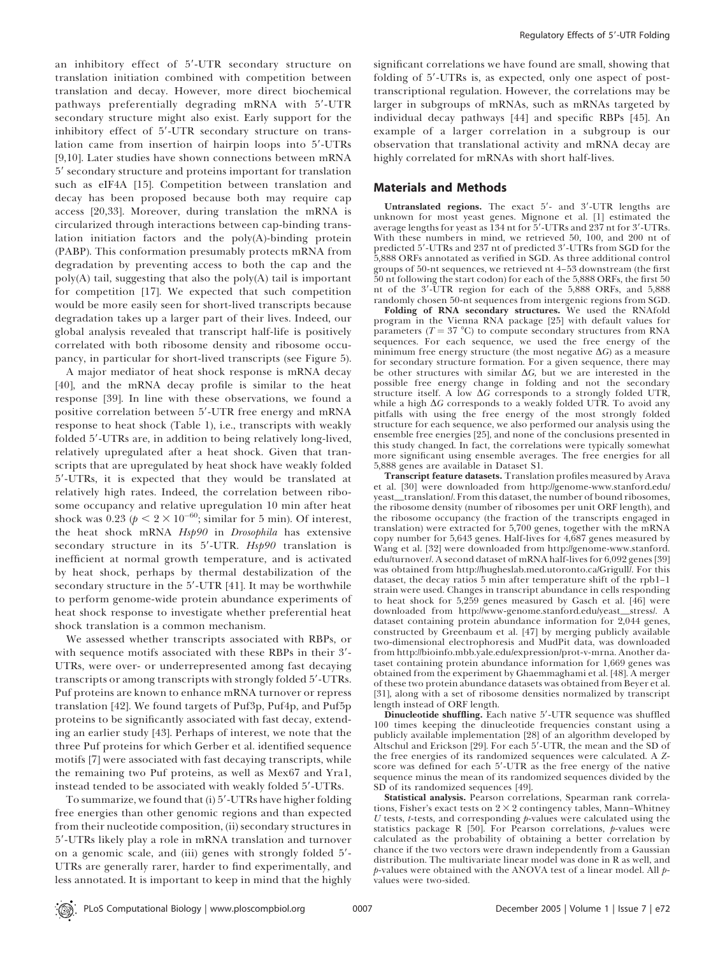an inhibitory effect of 5'-UTR secondary structure on translation initiation combined with competition between translation and decay. However, more direct biochemical pathways preferentially degrading mRNA with 5'-UTR secondary structure might also exist. Early support for the inhibitory effect of 5'-UTR secondary structure on translation came from insertion of hairpin loops into 5'-UTRs [9,10]. Later studies have shown connections between mRNA 5' secondary structure and proteins important for translation such as eIF4A [15]. Competition between translation and decay has been proposed because both may require cap access [20,33]. Moreover, during translation the mRNA is circularized through interactions between cap-binding translation initiation factors and the poly(A)-binding protein (PABP). This conformation presumably protects mRNA from degradation by preventing access to both the cap and the poly(A) tail, suggesting that also the poly(A) tail is important for competition [17]. We expected that such competition would be more easily seen for short-lived transcripts because degradation takes up a larger part of their lives. Indeed, our global analysis revealed that transcript half-life is positively correlated with both ribosome density and ribosome occupancy, in particular for short-lived transcripts (see Figure 5).

A major mediator of heat shock response is mRNA decay [40], and the mRNA decay profile is similar to the heat response [39]. In line with these observations, we found a positive correlation between 5'-UTR free energy and mRNA response to heat shock (Table 1), i.e., transcripts with weakly folded 5'-UTRs are, in addition to being relatively long-lived, relatively upregulated after a heat shock. Given that transcripts that are upregulated by heat shock have weakly folded 5'-UTRs, it is expected that they would be translated at relatively high rates. Indeed, the correlation between ribosome occupancy and relative upregulation 10 min after heat shock was 0.23 ( $p < 2 \times 10^{-60}$ ; similar for 5 min). Of interest, the heat shock mRNA Hsp90 in Drosophila has extensive secondary structure in its  $5'$ -UTR. Hsp $90$  translation is inefficient at normal growth temperature, and is activated by heat shock, perhaps by thermal destabilization of the secondary structure in the 5'-UTR [41]. It may be worthwhile to perform genome-wide protein abundance experiments of heat shock response to investigate whether preferential heat shock translation is a common mechanism.

We assessed whether transcripts associated with RBPs, or with sequence motifs associated with these RBPs in their  $3'$ -UTRs, were over- or underrepresented among fast decaying transcripts or among transcripts with strongly folded 5'-UTRs. Puf proteins are known to enhance mRNA turnover or repress translation [42]. We found targets of Puf3p, Puf4p, and Puf5p proteins to be significantly associated with fast decay, extending an earlier study [43]. Perhaps of interest, we note that the three Puf proteins for which Gerber et al. identified sequence motifs [7] were associated with fast decaying transcripts, while the remaining two Puf proteins, as well as Mex67 and Yra1, instead tended to be associated with weakly folded 5'-UTRs.

To summarize, we found that (i) 5'-UTRs have higher folding free energies than other genomic regions and than expected from their nucleotide composition, (ii) secondary structures in 5'-UTRs likely play a role in mRNA translation and turnover on a genomic scale, and (iii) genes with strongly folded 5'-UTRs are generally rarer, harder to find experimentally, and less annotated. It is important to keep in mind that the highly

significant correlations we have found are small, showing that folding of 5'-UTRs is, as expected, only one aspect of posttranscriptional regulation. However, the correlations may be larger in subgroups of mRNAs, such as mRNAs targeted by individual decay pathways [44] and specific RBPs [45]. An example of a larger correlation in a subgroup is our observation that translational activity and mRNA decay are highly correlated for mRNAs with short half-lives.

# Materials and Methods

Untranslated regions. The exact  $5'$ - and  $3'$ -UTR lengths are unknown for most yeast genes. Mignone et al. [1] estimated the average lengths for yeast as  $134$  nt for  $5'$ -UTRs and  $237$  nt for  $3'$ -UTRs. With these numbers in mind, we retrieved 50, 100, and 200 nt of predicted 5'-UTRs and 237 nt of predicted 3'-UTRs from SGD for the 5,888 ORFs annotated as verified in SGD. As three additional control groups of 50-nt sequences, we retrieved nt 4–53 downstream (the first 50 nt following the start codon) for each of the 5,888 ORFs, the first 50 nt of the 3'-UTR region for each of the 5,888 ORFs, and 5,888 randomly chosen 50-nt sequences from intergenic regions from SGD.

Folding of RNA secondary structures. We used the RNAfold program in the Vienna RNA package [25] with default values for parameters ( $T = 37$  °C) to compute secondary structures from RNA sequences. For each sequence, we used the free energy of the minimum free energy structure (the most negative  $\Delta G$ ) as a measure for secondary structure formation. For a given sequence, there may be other structures with similar  $\Delta G$ , but we are interested in the possible free energy change in folding and not the secondary structure itself. A low  $\Delta G$  corresponds to a strongly folded UTR, while a high  $\Delta G$  corresponds to a weakly folded UTR. To avoid any pitfalls with using the free energy of the most strongly folded structure for each sequence, we also performed our analysis using the ensemble free energies [25], and none of the conclusions presented in this study changed. In fact, the correlations were typically somewhat more significant using ensemble averages. The free energies for all 5,888 genes are available in Dataset S1.

Transcript feature datasets. Translation profiles measured by Arava et al. [30] were downloaded from http://genome-www.stanford.edu/ yeast\_translation/. From this dataset, the number of bound ribosomes, the ribosome density (number of ribosomes per unit ORF length), and the ribosome occupancy (the fraction of the transcripts engaged in translation) were extracted for 5,700 genes, together with the mRNA copy number for 5,643 genes. Half-lives for 4,687 genes measured by Wang et al. [32] were downloaded from http://genome-www.stanford. edu/turnover/. A second dataset of mRNA half-lives for 6,092 genes [39] was obtained from http://hugheslab.med.utoronto.ca/Grigull/. For this dataset, the decay ratios 5 min after temperature shift of the rpb1–1 strain were used. Changes in transcript abundance in cells responding to heat shock for 5,259 genes measured by Gasch et al. [46] were downloaded from http://www-genome.stanford.edu/yeast\_stress/. A dataset containing protein abundance information for 2,044 genes, constructed by Greenbaum et al. [47] by merging publicly available two-dimensional electrophoresis and MudPit data, was downloaded from http://bioinfo.mbb.yale.edu/expression/prot-v-mrna. Another dataset containing protein abundance information for 1,669 genes was obtained from the experiment by Ghaemmaghami et al. [48]. A merger of these two protein abundance datasets was obtained from Beyer et al. [31], along with a set of ribosome densities normalized by transcript length instead of ORF length.

Dinucleotide shuffling. Each native 5'-UTR sequence was shuffled 100 times keeping the dinucleotide frequencies constant using a publicly available implementation [28] of an algorithm developed by Altschul and Erickson [29]. For each 5'-UTR, the mean and the SD of the free energies of its randomized sequences were calculated. A Zscore was defined for each 5'-UTR as the free energy of the native sequence minus the mean of its randomized sequences divided by the SD of its randomized sequences [49].

Statistical analysis. Pearson correlations, Spearman rank correlations, Fisher's exact tests on  $2 \times 2$  contingency tables, Mann-Whitney  $U$  tests,  $t$ -tests, and corresponding  $p$ -values were calculated using the statistics package R [50]. For Pearson correlations, p-values were calculated as the probability of obtaining a better correlation by chance if the two vectors were drawn independently from a Gaussian distribution. The multivariate linear model was done in R as well, and p-values were obtained with the ANOVA test of a linear model. All pvalues were two-sided.